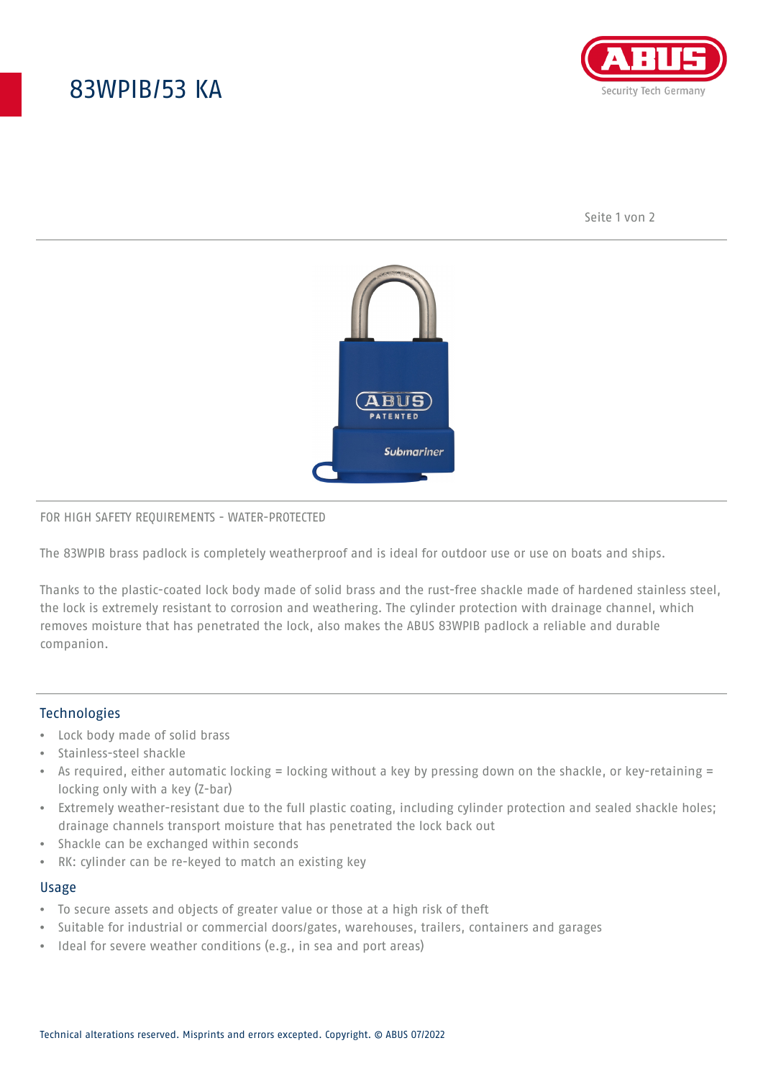# 83WPIB/53 KA



Seite 1 von 2



### FOR HIGH SAFETY REQUIREMENTS - WATER-PROTECTED

The 83WPIB brass padlock is completely weatherproof and is ideal for outdoor use or use on boats and ships.

Thanks to the plastic-coated lock body made of solid brass and the rust-free shackle made of hardened stainless steel, the lock is extremely resistant to corrosion and weathering. The cylinder protection with drainage channel, which removes moisture that has penetrated the lock, also makes the ABUS 83WPIB padlock a reliable and durable companion.

### **Technologies**

- Lock body made of solid brass
- Stainless-steel shackle
- As required, either automatic locking = locking without a key by pressing down on the shackle, or key-retaining = locking only with a key (Z-bar)
- Extremely weather-resistant due to the full plastic coating, including cylinder protection and sealed shackle holes; drainage channels transport moisture that has penetrated the lock back out
- Shackle can be exchanged within seconds
- RK: cylinder can be re-keyed to match an existing key

#### Usage

- To secure assets and objects of greater value or those at a high risk of theft
- Suitable for industrial or commercial doors/gates, warehouses, trailers, containers and garages
- Ideal for severe weather conditions (e.g., in sea and port areas)